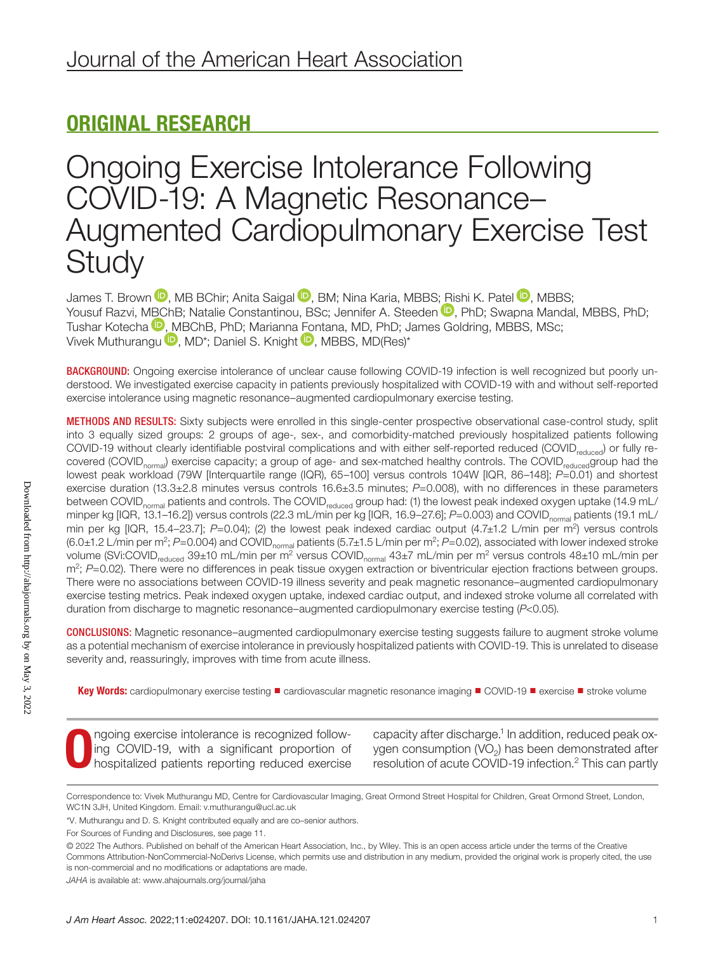# ORIGINAL RESEARCH

# Ongoing Exercise Intolerance Following COVID-19: A Magnetic Resonance– Augmented Cardiopulmonary Exercise Test **Study**

James T. Brown  $\mathbf D$ [,](https://orcid.org/0000-0002-3177-5680) MB BChir; Anita Saigal  $\mathbf D$ , BM; Nina Karia, MBBS[; Ris](https://orcid.org/0000-0002-9792-2022)hi K. Patel  $\mathbf D$ , MBBS; Yousuf Razvi, [MBC](https://orcid.org/0000-0003-0059-4817)hB; Natalie Constantinou, BSc; Jennifer A. Steeden D, PhD; Swapna Mandal, MBBS, PhD; Tushar Kotecha <sup>(D</sup>[, M](https://orcid.org/0000-0002-4292-6456)BChB, PhD; Marianna [Fon](https://orcid.org/0000-0002-0512-3961)tana, MD, PhD; James Goldring, MBBS, MSc; Vivek Muthurangu **D**, MD<sup>\*</sup>; Daniel S. Knight **D**, MBBS, MD(Res)<sup>\*</sup>

BACKGROUND: Ongoing exercise intolerance of unclear cause following COVID-19 infection is well recognized but poorly understood. We investigated exercise capacity in patients previously hospitalized with COVID-19 with and without self-reported exercise intolerance using magnetic resonance–augmented cardiopulmonary exercise testing.

METHODS AND RESULTS: Sixty subjects were enrolled in this single-center prospective observational case-control study, split into 3 equally sized groups: 2 groups of age-, sex-, and comorbidity-matched previously hospitalized patients following COVID-19 without clearly identifiable postviral complications and with either self-reported reduced (COVID<sub>reduced</sub>) or fully recovered (COVID<sub>normal</sub>) exercise capacity; a group of age- and sex-matched healthy controls. The COVID<sub>reduced</sub>group had the lowest peak workload (79W [Interquartile range (IQR), 65–100] versus controls 104W [IQR, 86–148]; *P*=0.01) and shortest exercise duration (13.3±2.8 minutes versus controls 16.6±3.5 minutes;  $P=0.008$ ), with no differences in these parameters between COVID<sub>normal</sub> patients and controls. The COVID<sub>reduced</sub> group had: (1) the lowest peak indexed oxygen uptake (14.9 mL/ minper kg [IQR, 13.1–16.2]) versus controls (22.3 mL/min per kg [IQR, 16.9–27.6]; *P*=0.003) and COVID<sub>normal</sub> patients (19.1 mL/ min per kg [IQR, 15.4–23.7]; *P*=0.04); (2) the lowest peak indexed cardiac output (4.7±1.2 L/min per m<sup>2</sup>) versus controls (6.0±1.2 L/min per m<sup>2</sup>; P=0.004) and COVID<sub>normal</sub> patients (5.7±1.5 L/min per m<sup>2</sup>; P=0.02), associated with lower indexed stroke volume (SVi:COVID<sub>reduced</sub> 39±10 mL/min per m<sup>2</sup> versus COVID<sub>normal</sub> 43±7 mL/min per m<sup>2</sup> versus controls 48±10 mL/min per m<sup>2</sup>; P=0.02). There were no differences in peak tissue oxygen extraction or biventricular ejection fractions between groups. There were no associations between COVID-19 illness severity and peak magnetic resonance–augmented cardiopulmonary exercise testing metrics. Peak indexed oxygen uptake, indexed cardiac output, and indexed stroke volume all correlated with duration from discharge to magnetic resonance–augmented cardiopulmonary exercise testing (*P*<0.05).

CONCLUSIONS: Magnetic resonance–augmented cardiopulmonary exercise testing suggests failure to augment stroke volume as a potential mechanism of exercise intolerance in previously hospitalized patients with COVID-19. This is unrelated to disease severity and, reassuringly, improves with time from acute illness.

Key Words: cardiopulmonary exercise testing ■ cardiovascular magnetic resonance imaging ■ COVID-19 ■ exercise ■ stroke volume

**Ongoing exercise intolerance is recognized following COVID-19, with a significant proportion of hospitalized patients reporting reduced exercise** ing COVID-19, with a significant proportion of

capacity after discharge.<sup>1</sup> In addition, reduced peak oxygen consumption  $(VO<sub>2</sub>)$  has been demonstrated after resolution of acute COVID-19 infection.2 This can partly

Correspondence to: Vivek Muthurangu MD, Centre for Cardiovascular Imaging, Great Ormond Street Hospital for Children, Great Ormond Street, London, WC1N 3JH, United Kingdom. Email: [v.muthurangu@ucl.ac.uk](mailto:v.muthurangu@ucl.ac.uk)

<sup>\*</sup>V. Muthurangu and D. S. Knight contributed equally and are co–senior authors.

For Sources of Funding and Disclosures, see page 11.

<sup>© 2022</sup> The Authors. Published on behalf of the American Heart Association, Inc., by Wiley. This is an open access article under the terms of the [Creative](http://creativecommons.org/licenses/by-nc-nd/4.0/)  [Commons Attribution-NonCommercial-NoDerivs](http://creativecommons.org/licenses/by-nc-nd/4.0/) License, which permits use and distribution in any medium, provided the original work is properly cited, the use is non-commercial and no modifications or adaptations are made.

*JAHA* is available at: [www.ahajournals.org/journal/jaha](https://www.ahajournals.org/journal/jaha)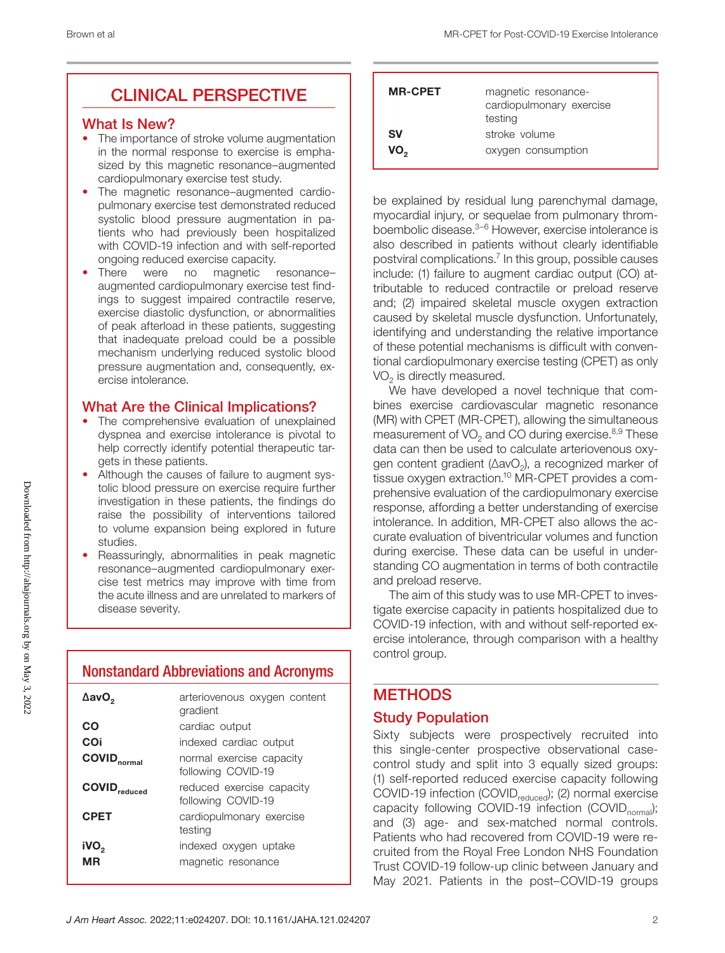# CLINICAL PERSPECTIVE

#### What Is New?

- The importance of stroke volume augmentation in the normal response to exercise is emphasized by this magnetic resonance–augmented cardiopulmonary exercise test study.
- The magnetic resonance–augmented cardiopulmonary exercise test demonstrated reduced systolic blood pressure augmentation in patients who had previously been hospitalized with COVID-19 infection and with self-reported ongoing reduced exercise capacity.
- There were no magnetic resonanceaugmented cardiopulmonary exercise test findings to suggest impaired contractile reserve, exercise diastolic dysfunction, or abnormalities of peak afterload in these patients, suggesting that inadequate preload could be a possible mechanism underlying reduced systolic blood pressure augmentation and, consequently, exercise intolerance.

## What Are the Clinical Implications?

- The comprehensive evaluation of unexplained dyspnea and exercise intolerance is pivotal to help correctly identify potential therapeutic targets in these patients.
- Although the causes of failure to augment systolic blood pressure on exercise require further investigation in these patients, the findings do raise the possibility of interventions tailored to volume expansion being explored in future studies.
- Reassuringly, abnormalities in peak magnetic resonance–augmented cardiopulmonary exercise test metrics may improve with time from the acute illness and are unrelated to markers of disease severity.

# Nonstandard Abbreviations and Acronyms

| ΔavO <sub>2</sub>               | arteriovenous oxygen content<br>gradient        |
|---------------------------------|-------------------------------------------------|
| CO                              | cardiac output                                  |
| COi                             | indexed cardiac output                          |
| <b>COVID</b> <sub>normal</sub>  | normal exercise capacity<br>following COVID-19  |
| <b>COVID</b> <sub>reduced</sub> | reduced exercise capacity<br>following COVID-19 |
| <b>CPET</b>                     | cardiopulmonary exercise<br>testing             |
| iVO <sub>2</sub><br>MR          | indexed oxygen uptake<br>magnetic resonance     |

| <b>MR-CPET</b> | magnetic resonance-<br>cardiopulmonary exercise<br>testing |
|----------------|------------------------------------------------------------|
| <b>SV</b>      | stroke volume                                              |
| VO.,           | oxygen consumption                                         |

be explained by residual lung parenchymal damage, myocardial injury, or sequelae from pulmonary thromboembolic disease.<sup>3–6</sup> However, exercise intolerance is also described in patients without clearly identifiable postviral complications.7 In this group, possible causes include: (1) failure to augment cardiac output (CO) attributable to reduced contractile or preload reserve and; (2) impaired skeletal muscle oxygen extraction caused by skeletal muscle dysfunction. Unfortunately, identifying and understanding the relative importance of these potential mechanisms is difficult with conventional cardiopulmonary exercise testing (CPET) as only VO<sub>2</sub> is directly measured.

We have developed a novel technique that combines exercise cardiovascular magnetic resonance (MR) with CPET (MR-CPET), allowing the simultaneous measurement of  $VO<sub>2</sub>$  and CO during exercise.<sup>8,9</sup> These data can then be used to calculate arteriovenous oxygen content gradient (∆avO<sub>2</sub>), a recognized marker of tissue oxygen extraction.<sup>10</sup> MR-CPET provides a comprehensive evaluation of the cardiopulmonary exercise response, affording a better understanding of exercise intolerance. In addition, MR-CPET also allows the accurate evaluation of biventricular volumes and function during exercise. These data can be useful in understanding CO augmentation in terms of both contractile and preload reserve.

The aim of this study was to use MR-CPET to investigate exercise capacity in patients hospitalized due to COVID-19 infection, with and without self-reported exercise intolerance, through comparison with a healthy control group.

# **METHODS**

#### Study Population

Sixty subjects were prospectively recruited into this single-center prospective observational casecontrol study and split into 3 equally sized groups: (1) self-reported reduced exercise capacity following COVID-19 infection (COVID<sub>reduced</sub>); (2) normal exercise capacity following COVID-19 infection (COVID $_{normal}$ ); and (3) age- and sex-matched normal controls. Patients who had recovered from COVID-19 were recruited from the Royal Free London NHS Foundation Trust COVID-19 follow-up clinic between January and May 2021. Patients in the post–COVID-19 groups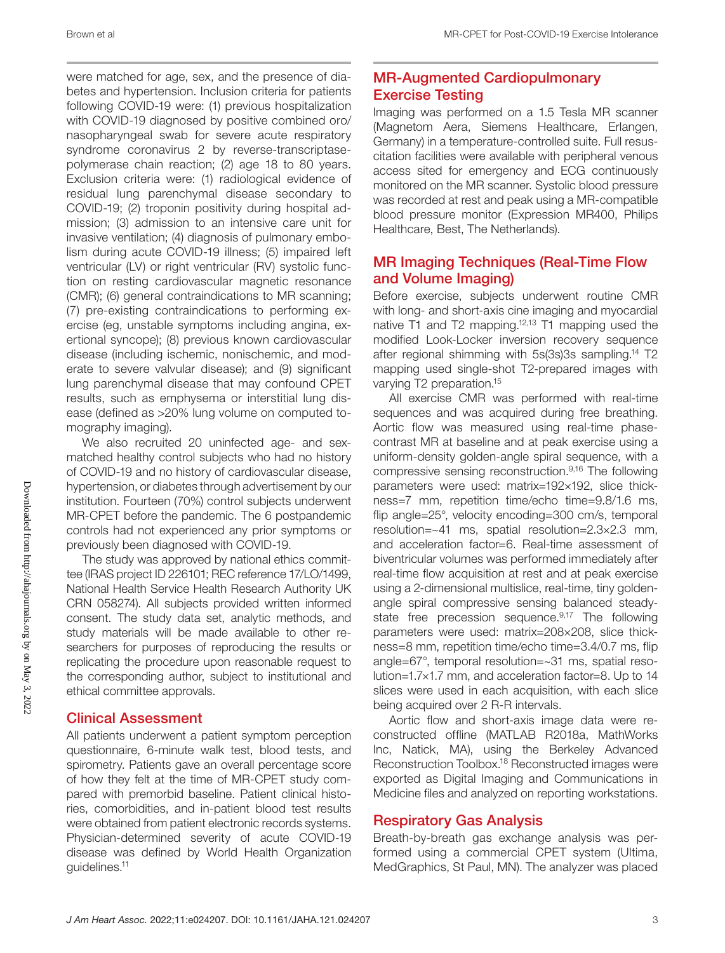were matched for age, sex, and the presence of diabetes and hypertension. Inclusion criteria for patients following COVID-19 were: (1) previous hospitalization with COVID-19 diagnosed by positive combined oro/ nasopharyngeal swab for severe acute respiratory syndrome coronavirus 2 by reverse-transcriptasepolymerase chain reaction; (2) age 18 to 80 years. Exclusion criteria were: (1) radiological evidence of residual lung parenchymal disease secondary to COVID-19; (2) troponin positivity during hospital admission; (3) admission to an intensive care unit for invasive ventilation; (4) diagnosis of pulmonary embolism during acute COVID-19 illness; (5) impaired left ventricular (LV) or right ventricular (RV) systolic function on resting cardiovascular magnetic resonance (CMR); (6) general contraindications to MR scanning; (7) pre-existing contraindications to performing exercise (eg, unstable symptoms including angina, exertional syncope); (8) previous known cardiovascular disease (including ischemic, nonischemic, and moderate to severe valvular disease); and (9) significant lung parenchymal disease that may confound CPET results, such as emphysema or interstitial lung disease (defined as >20% lung volume on computed tomography imaging).

We also recruited 20 uninfected age- and sexmatched healthy control subjects who had no history of COVID-19 and no history of cardiovascular disease, hypertension, or diabetes through advertisement by our institution. Fourteen (70%) control subjects underwent MR-CPET before the pandemic. The 6 postpandemic controls had not experienced any prior symptoms or previously been diagnosed with COVID-19.

The study was approved by national ethics committee (IRAS project ID 226101; REC reference 17/LO/1499, National Health Service Health Research Authority UK CRN 058274). All subjects provided written informed consent. The study data set, analytic methods, and study materials will be made available to other researchers for purposes of reproducing the results or replicating the procedure upon reasonable request to the corresponding author, subject to institutional and ethical committee approvals.

# Clinical Assessment

All patients underwent a patient symptom perception questionnaire, 6-minute walk test, blood tests, and spirometry. Patients gave an overall percentage score of how they felt at the time of MR-CPET study compared with premorbid baseline. Patient clinical histories, comorbidities, and in-patient blood test results were obtained from patient electronic records systems. Physician-determined severity of acute COVID-19 disease was defined by World Health Organization guidelines.11

# MR-Augmented Cardiopulmonary Exercise Testing

Imaging was performed on a 1.5 Tesla MR scanner (Magnetom Aera, Siemens Healthcare, Erlangen, Germany) in a temperature-controlled suite. Full resuscitation facilities were available with peripheral venous access sited for emergency and ECG continuously monitored on the MR scanner. Systolic blood pressure was recorded at rest and peak using a MR-compatible blood pressure monitor (Expression MR400, Philips Healthcare, Best, The Netherlands).

# MR Imaging Techniques (Real-Time Flow and Volume Imaging)

Before exercise, subjects underwent routine CMR with long- and short-axis cine imaging and myocardial native T1 and T2 mapping.12,13 T1 mapping used the modified Look-Locker inversion recovery sequence after regional shimming with 5s(3s)3s sampling.14 T2 mapping used single-shot T2-prepared images with varying T2 preparation.15

All exercise CMR was performed with real-time sequences and was acquired during free breathing. Aortic flow was measured using real-time phasecontrast MR at baseline and at peak exercise using a uniform-density golden-angle spiral sequence, with a compressive sensing reconstruction.9,16 The following parameters were used: matrix=192×192, slice thickness=7 mm, repetition time/echo time=9.8/1.6 ms, flip angle=25°, velocity encoding=300 cm/s, temporal resolution=~41 ms, spatial resolution=2.3×2.3 mm, and acceleration factor=6. Real-time assessment of biventricular volumes was performed immediately after real-time flow acquisition at rest and at peak exercise using a 2-dimensional multislice, real-time, tiny goldenangle spiral compressive sensing balanced steadystate free precession sequence.<sup>9,17</sup> The following parameters were used: matrix=208×208, slice thickness=8 mm, repetition time/echo time=3.4/0.7 ms, flip angle=67°, temporal resolution=~31 ms, spatial resolution=1.7×1.7 mm, and acceleration factor=8. Up to 14 slices were used in each acquisition, with each slice being acquired over 2 R-R intervals.

Aortic flow and short-axis image data were reconstructed offline (MATLAB R2018a, MathWorks Inc, Natick, MA), using the Berkeley Advanced Reconstruction Toolbox.18 Reconstructed images were exported as Digital Imaging and Communications in Medicine files and analyzed on reporting workstations.

#### Respiratory Gas Analysis

Breath-by-breath gas exchange analysis was performed using a commercial CPET system (Ultima, MedGraphics, St Paul, MN). The analyzer was placed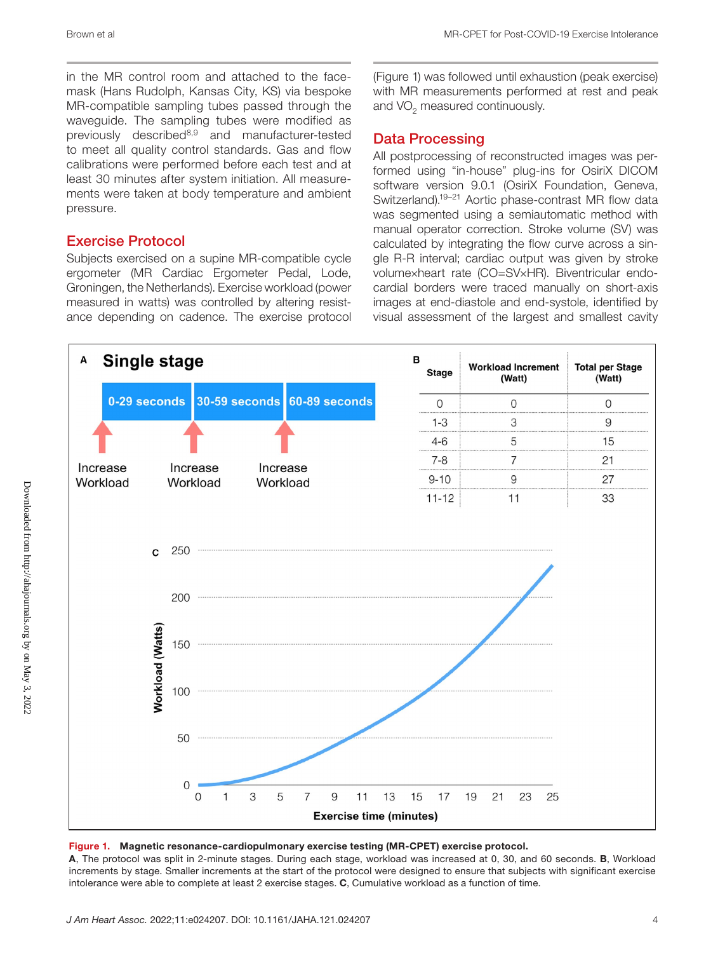in the MR control room and attached to the facemask (Hans Rudolph, Kansas City, KS) via bespoke MR-compatible sampling tubes passed through the waveguide. The sampling tubes were modified as previously described8,9 and manufacturer-tested to meet all quality control standards. Gas and flow calibrations were performed before each test and at least 30 minutes after system initiation. All measurements were taken at body temperature and ambient pressure.

## Exercise Protocol

Subjects exercised on a supine MR-compatible cycle ergometer (MR Cardiac Ergometer Pedal, Lode, Groningen, the Netherlands). Exercise workload (power measured in watts) was controlled by altering resistance depending on cadence. The exercise protocol

(Figure 1) was followed until exhaustion (peak exercise) with MR measurements performed at rest and peak and VO<sub>2</sub> measured continuously.

## Data Processing

All postprocessing of reconstructed images was performed using "in-house" plug-ins for OsiriX DICOM software version 9.0.1 (OsiriX Foundation, Geneva, Switzerland).19–21 Aortic phase-contrast MR flow data was segmented using a semiautomatic method with manual operator correction. Stroke volume (SV) was calculated by integrating the flow curve across a single R-R interval; cardiac output was given by stroke volume×heart rate (CO=SV×HR). Biventricular endocardial borders were traced manually on short-axis images at end-diastole and end-systole, identified by visual assessment of the largest and smallest cavity





A, The protocol was split in 2-minute stages. During each stage, workload was increased at 0, 30, and 60 seconds. B, Workload increments by stage. Smaller increments at the start of the protocol were designed to ensure that subjects with significant exercise intolerance were able to complete at least 2 exercise stages. C, Cumulative workload as a function of time.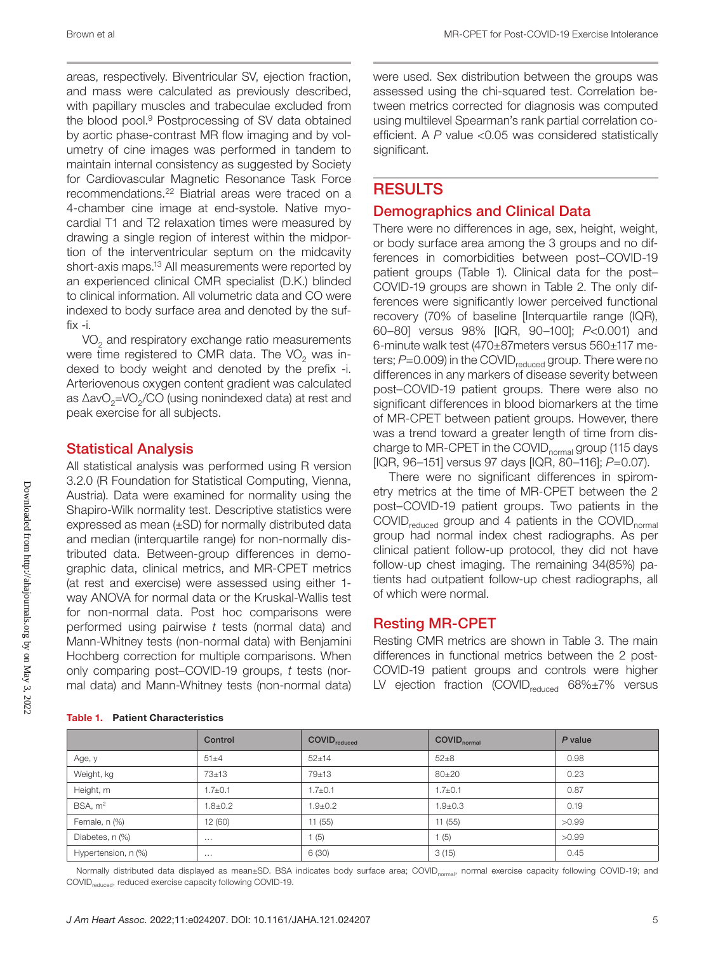areas, respectively. Biventricular SV, ejection fraction, and mass were calculated as previously described, with papillary muscles and trabeculae excluded from the blood pool.9 Postprocessing of SV data obtained by aortic phase-contrast MR flow imaging and by volumetry of cine images was performed in tandem to maintain internal consistency as suggested by Society for Cardiovascular Magnetic Resonance Task Force recommendations.22 Biatrial areas were traced on a 4-chamber cine image at end-systole. Native myocardial T1 and T2 relaxation times were measured by drawing a single region of interest within the midportion of the interventricular septum on the midcavity short-axis maps.13 All measurements were reported by an experienced clinical CMR specialist (D.K.) blinded to clinical information. All volumetric data and CO were indexed to body surface area and denoted by the suffix -i.

 $VO<sub>2</sub>$  and respiratory exchange ratio measurements were time registered to CMR data. The  $VO<sub>2</sub>$  was indexed to body weight and denoted by the prefix -i. Arteriovenous oxygen content gradient was calculated as ∆avO<sub>2</sub>=VO<sub>2</sub>/CO (using nonindexed data) at rest and peak exercise for all subjects.

#### Statistical Analysis

All statistical analysis was performed using R version 3.2.0 (R Foundation for Statistical Computing, Vienna, Austria). Data were examined for normality using the Shapiro-Wilk normality test. Descriptive statistics were expressed as mean (±SD) for normally distributed data and median (interquartile range) for non-normally distributed data. Between-group differences in demographic data, clinical metrics, and MR-CPET metrics (at rest and exercise) were assessed using either 1 way ANOVA for normal data or the Kruskal-Wallis test for non-normal data. Post hoc comparisons were performed using pairwise *t* tests (normal data) and Mann-Whitney tests (non-normal data) with Benjamini Hochberg correction for multiple comparisons. When only comparing post–COVID-19 groups, *t* tests (normal data) and Mann-Whitney tests (non-normal data) were used. Sex distribution between the groups was assessed using the chi-squared test. Correlation between metrics corrected for diagnosis was computed using multilevel Spearman's rank partial correlation coefficient. A *P* value <0.05 was considered statistically significant.

# **RESULTS**

#### Demographics and Clinical Data

There were no differences in age, sex, height, weight, or body surface area among the 3 groups and no differences in comorbidities between post–COVID-19 patient groups (Table 1). Clinical data for the post– COVID-19 groups are shown in Table 2. The only differences were significantly lower perceived functional recovery (70% of baseline [Interquartile range (IQR), 60–80] versus 98% [IQR, 90–100]; *P*<0.001) and 6-minute walk test (470±87meters versus 560±117 meters; *P*=0.009) in the COVID<sub>reduced</sub> group. There were no differences in any markers of disease severity between post–COVID-19 patient groups. There were also no significant differences in blood biomarkers at the time of MR-CPET between patient groups. However, there was a trend toward a greater length of time from discharge to MR-CPET in the COVID<sub>normal</sub> group (115 days [IQR, 96–151] versus 97 days [IQR, 80–116]; *P*=0.07).

There were no significant differences in spirometry metrics at the time of MR-CPET between the 2 post–COVID-19 patient groups. Two patients in the  $COVID_{reduced}$  group and 4 patients in the  $COVID_{normal}$ group had normal index chest radiographs. As per clinical patient follow-up protocol, they did not have follow-up chest imaging. The remaining 34(85%) patients had outpatient follow-up chest radiographs, all of which were normal.

#### Resting MR-CPET

Resting CMR metrics are shown in Table 3. The main differences in functional metrics between the 2 post-COVID-19 patient groups and controls were higher LV ejection fraction (COVID<sub>reduced</sub>  $68\% \pm 7\%$  versus

| <b>Table 1. Patient Characteristics</b> |
|-----------------------------------------|
|                                         |

|                     | Control       | <b>COVID</b> <sub>reduced</sub> | COVID <sub>normal</sub> | P value |
|---------------------|---------------|---------------------------------|-------------------------|---------|
| Age, y              | $51 + 4$      | $52 + 14$                       | $52 + 8$                | 0.98    |
| Weight, kg          | $73 + 13$     | $79 + 13$                       | $80 + 20$               | 0.23    |
| Height, m           | $1.7 \pm 0.1$ | $1.7 \pm 0.1$                   | $1.7 \pm 0.1$           | 0.87    |
| BSA, m <sup>2</sup> | $1.8 \pm 0.2$ | $1.9 + 0.2$                     | $1.9 + 0.3$             | 0.19    |
| Female, n (%)       | 12 (60)       | 11(55)                          | 11(55)                  | >0.99   |
| Diabetes, n (%)     | $\cdots$      | (5)                             | (5)                     | >0.99   |
| Hypertension, n (%) | $\cdots$      | 6(30)                           | 3(15)                   | 0.45    |

Normally distributed data displayed as mean±SD. BSA indicates body surface area; COVID<sub>normal</sub>, normal exercise capacity following COVID-19; and COVID<sub>reduced</sub>, reduced exercise capacity following COVID-19.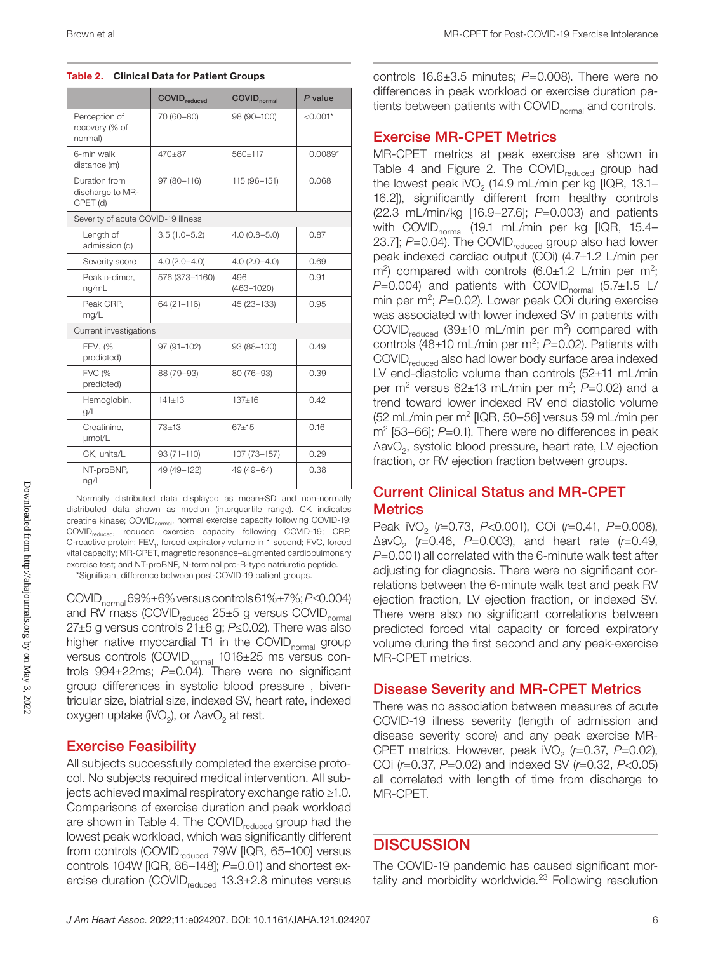| Table 2. Clinical Data for Patient Groups |  |  |  |  |
|-------------------------------------------|--|--|--|--|
|-------------------------------------------|--|--|--|--|

|                                               | <b>COVID</b> <sub>reduced</sub> | <b>COVID</b> <sub>normal</sub> | P value    |
|-----------------------------------------------|---------------------------------|--------------------------------|------------|
| Perception of<br>recovery (% of<br>normal)    | 70 (60-80)                      | 98 (90-100)                    | $< 0.001*$ |
| 6-min walk<br>distance (m)                    | $470 + 87$                      | 560+117                        | $0.0089*$  |
| Duration from<br>discharge to MR-<br>CPET (d) | 97 (80-116)                     | 115 (96-151)                   | 0.068      |
| Severity of acute COVID-19 illness            |                                 |                                |            |
| Length of<br>admission (d)                    | $3.5(1.0 - 5.2)$                | $4.0(0.8 - 5.0)$               | 0.87       |
| Severity score                                | $4.0(2.0 - 4.0)$                | $4.0(2.0 - 4.0)$               | 0.69       |
| Peak p-dimer.<br>ng/mL                        | 576 (373-1160)                  | 496<br>$(463 - 1020)$          | 0.91       |
| Peak CRP,<br>mg/L                             | 64 (21-116)                     | 45 (23-133)                    | 0.95       |
| Current investigations                        |                                 |                                |            |
| FEV <sub>1</sub> (%<br>predicted)             | 97 (91-102)                     | 93 (88-100)                    | 0.49       |
| <b>FVC (%</b><br>predicted)                   | 88 (79-93)                      | 80 (76-93)                     | 0.39       |
| Hemoglobin,<br>q/L                            | $141 + 13$                      | $137 + 16$                     | 0.42       |
| Creatinine,<br>µmol/L                         | $73 + 13$                       | $67 + 15$                      | 0.16       |
| CK, units/L                                   | $93(71 - 110)$                  | 107 (73-157)                   | 0.29       |
| NT-proBNP,<br>ng/L                            | 49 (49-122)                     | 49 (49 - 64)                   | 0.38       |

Normally distributed data displayed as mean±SD and non-normally distributed data shown as median (interquartile range). CK indicates creatine kinase; COVID<sub>normal</sub>, normal exercise capacity following COVID-19; COVID<sub>reduced</sub>, reduced exercise capacity following COVID-19; CRP, C-reactive protein; FEV<sub>1</sub>, forced expiratory volume in 1 second; FVC, forced vital capacity; MR-CPET, magnetic resonance–augmented cardiopulmonary exercise test; and NT-proBNP, N-terminal pro-B-type natriuretic peptide. \*Significant difference between post-COVID-19 patient groups.

COVIDnormal 69%±6% versus controls 61%±7%; *P*≤0.004)

and RV mass (COVID $_{reduced}$  25 $\pm$ 5 g versus COVID $_{normal}$ 27±5 g versus controls 21±6 g; *P*≤0.02). There was also higher native myocardial T1 in the COVID<sub>normal</sub> group versus controls (COVID<sub>normal</sub> 1016±25 ms versus controls 994±22ms; *P*=0.04). There were no significant group differences in systolic blood pressure , biventricular size, biatrial size, indexed SV, heart rate, indexed oxygen uptake (iVO<sub>2</sub>), or  $\Delta$ avO<sub>2</sub> at rest.

#### Exercise Feasibility

All subjects successfully completed the exercise protocol. No subjects required medical intervention. All subjects achieved maximal respiratory exchange ratio ≥1.0. Comparisons of exercise duration and peak workload are shown in Table 4. The COVID<sub>reduced</sub> group had the lowest peak workload, which was significantly different from controls (COVID<sub>reduced</sub> 79W [IQR, 65-100] versus controls 104W [IQR, 86–148]; *P*=0.01) and shortest exercise duration (COVID<sub>reduced</sub>  $13.3\pm2.8$  minutes versus controls 16.6±3.5 minutes; *P*=0.008). There were no differences in peak workload or exercise duration patients between patients with COVID<sub>normal</sub> and controls.

#### Exercise MR-CPET Metrics

MR-CPET metrics at peak exercise are shown in Table 4 and Figure 2. The COVID $_{\text{reduced}}$  group had the lowest peak iVO<sub>2</sub> (14.9 mL/min per kg [IQR, 13.1– 16.2]), significantly different from healthy controls (22.3 mL/min/kg [16.9–27.6]; *P*=0.003) and patients with COVID<sub>normal</sub> (19.1 mL/min per kg [IQR, 15.4– 23.7]; *P*=0.04). The COVID<sub>reduced</sub> group also had lower peak indexed cardiac output (COi) (4.7±1.2 L/min per  $\text{m}^2$ ) compared with controls (6.0 $\pm$ 1.2 L/min per m<sup>2</sup>;  $P=0.004$ ) and patients with COVID<sub>normal</sub> (5.7 $\pm$ 1.5 L/ min per m<sup>2</sup>; P=0.02). Lower peak COi during exercise was associated with lower indexed SV in patients with COVID<sub>reduced</sub> (39 $\pm$ 10 mL/min per m<sup>2</sup>) compared with controls (48±10 mL/min per m<sup>2</sup>; P=0.02). Patients with COVID<sub>reduced</sub> also had lower body surface area indexed LV end-diastolic volume than controls (52±11 mL/min per m2 versus 62±13 mL/min per m2 ; *P*=0.02) and a trend toward lower indexed RV end diastolic volume (52 mL/min per m2 [IQR, 50–56] versus 59 mL/min per m<sup>2</sup> [53–66]; *P*=0.1). There were no differences in peak ∆avO2, systolic blood pressure, heart rate, LV ejection fraction, or RV ejection fraction between groups.

#### Current Clinical Status and MR-CPET **Metrics**

Peak iVO2 (*r*=0.73, *P*<0.001), COi (*r*=0.41, *P*=0.008), ∆avO2 (*r*=0.46, *P*=0.003), and heart rate (*r*=0.49, *P*=0.001) all correlated with the 6-minute walk test after adjusting for diagnosis. There were no significant correlations between the 6-minute walk test and peak RV ejection fraction, LV ejection fraction, or indexed SV. There were also no significant correlations between predicted forced vital capacity or forced expiratory volume during the first second and any peak-exercise MR-CPET metrics.

#### Disease Severity and MR-CPET Metrics

There was no association between measures of acute COVID-19 illness severity (length of admission and disease severity score) and any peak exercise MR-CPET metrics. However, peak iVO<sub>2</sub> (r=0.37, P=0.02), COi (*r*=0.37, *P*=0.02) and indexed SV (*r*=0.32, *P*<0.05) all correlated with length of time from discharge to MR-CPET.

#### **DISCUSSION**

The COVID-19 pandemic has caused significant mortality and morbidity worldwide.<sup>23</sup> Following resolution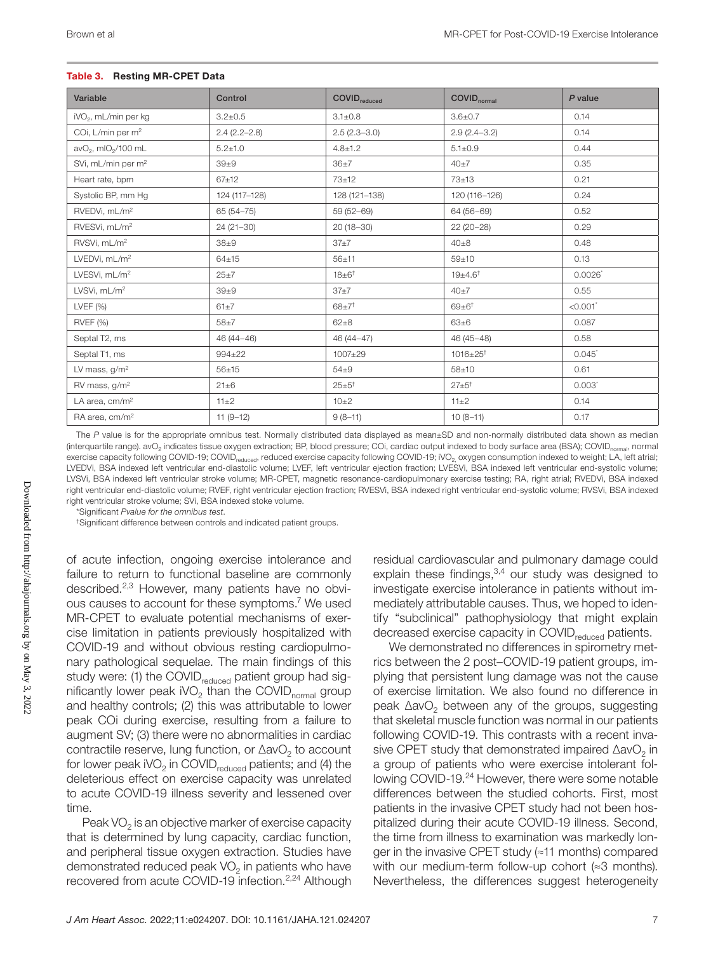#### Table 3. Resting MR-CPET Data

| Variable                                    | Control          | <b>COVID</b> <sub>reduced</sub> | <b>COVID</b> <sub>normal</sub> | $P$ value            |
|---------------------------------------------|------------------|---------------------------------|--------------------------------|----------------------|
| iVO <sub>2</sub> , mL/min per kg            | $3.2 \pm 0.5$    | $3.1 \pm 0.8$                   | $3.6 \pm 0.7$                  | 0.14                 |
| COi, L/min per m <sup>2</sup>               | $2.4(2.2 - 2.8)$ | $2.5(2.3-3.0)$                  | $2.9(2.4 - 3.2)$               | 0.14                 |
| avO <sub>2</sub> , mIO <sub>2</sub> /100 mL | $5.2 \pm 1.0$    | $4.8 \pm 1.2$                   | $5.1 \pm 0.9$                  | 0.44                 |
| SVi, mL/min per m <sup>2</sup>              | $39\pm9$         | $36\pm7$                        | $40+7$                         | 0.35                 |
| Heart rate, bpm                             | $67 + 12$        | $73 \pm 12$                     | 73±13                          | 0.21                 |
| Systolic BP, mm Hq                          | 124 (117-128)    | 128 (121-138)                   | 120 (116-126)                  | 0.24                 |
| RVEDVi, mL/m <sup>2</sup>                   | 65 (54-75)       | 59 (52-69)                      | 64 (56-69)                     | 0.52                 |
| RVESVi, mL/m <sup>2</sup>                   | $24(21-30)$      | $20(18-30)$                     | $22(20-28)$                    | 0.29                 |
| RVSVi, mL/m <sup>2</sup>                    | $38\pm9$         | 37±7                            | $40\pm8$                       | 0.48                 |
| LVEDVi, mL/m <sup>2</sup>                   | $64 + 15$        | $56 + 11$                       | $59 + 10$                      | 0.13                 |
| LVESVi, mL/m <sup>2</sup>                   | $25 \pm 7$       | $18 \pm 6^+$                    | $19{\pm}4.6^{\dagger}$         | 0.0026               |
| LVSVi, mL/m <sup>2</sup>                    | $39\pm9$         | $37\pm7$                        | $40+7$                         | 0.55                 |
| LVEF $(%)$                                  | $61\pm7$         | $68 + 7^{+}$                    | $69 \pm 6^+$                   | < 0.001              |
| RVEF (%)                                    | $58 + 7$         | $62 \pm 8$                      | $63\pm 6$                      | 0.087                |
| Septal T2, ms                               | $46(44 - 46)$    | $46(44 - 47)$                   | $46(45 - 48)$                  | 0.58                 |
| Septal T1, ms                               | $994 \pm 22$     | 1007±29                         | $1016 \pm 25$ <sup>†</sup>     | $0.045$ <sup>*</sup> |
| LV mass, $g/m^2$                            | $56 + 15$        | $54\pm9$                        | $58 + 10$                      | 0.61                 |
| RV mass, g/m <sup>2</sup>                   | $21\pm 6$        | $25 + 5^{+}$                    | $27 + 5^{+}$                   | $0.003*$             |
| LA area, cm/m <sup>2</sup>                  | $11\pm2$         | $10\pm 2$                       | $11\pm2$                       | 0.14                 |
| RA area, cm/m <sup>2</sup>                  | $11(9-12)$       | $9(8-11)$                       | $10(8-11)$                     | 0.17                 |

The *P* value is for the appropriate omnibus test. Normally distributed data displayed as mean±SD and non-normally distributed data shown as median (interquartile range). avO<sub>2</sub> indicates tissue oxygen extraction; BP, blood pressure; COi, cardiac output indexed to body surface area (BSA); COVID<sub>normal</sub>, normal exercise capacity following COVID-19; COVID<sub>reduced</sub>, reduced exercise capacity following COVID-19; iVO<sub>2</sub> oxygen consumption indexed to weight; LA, left atrial; LVEDVi, BSA indexed left ventricular end-diastolic volume; LVEF, left ventricular ejection fraction; LVESVi, BSA indexed left ventricular end-systolic volume; LVSVi, BSA indexed left ventricular stroke volume; MR-CPET, magnetic resonance-cardiopulmonary exercise testing; RA, right atrial; RVEDVi, BSA indexed right ventricular end-diastolic volume; RVEF, right ventricular ejection fraction; RVESVi, BSA indexed right ventricular end-systolic volume; RVSVi, BSA indexed right ventricular stroke volume; SVi, BSA indexed stoke volume.

\*Significant *Pvalue for the omnibus test*.

†Significant difference between controls and indicated patient groups.

of acute infection, ongoing exercise intolerance and failure to return to functional baseline are commonly described.2,3 However, many patients have no obvious causes to account for these symptoms.<sup>7</sup> We used MR-CPET to evaluate potential mechanisms of exercise limitation in patients previously hospitalized with COVID-19 and without obvious resting cardiopulmonary pathological sequelae. The main findings of this study were: (1) the COVID<sub>reduced</sub> patient group had significantly lower peak iVO<sub>2</sub> than the COVID<sub>normal</sub> group and healthy controls; (2) this was attributable to lower peak COi during exercise, resulting from a failure to augment SV; (3) there were no abnormalities in cardiac contractile reserve, lung function, or  $\Delta avO<sub>2</sub>$  to account for lower peak  $\mathsf{ivO}_2$  in COVID<sub>reduced</sub> patients; and (4) the deleterious effect on exercise capacity was unrelated to acute COVID-19 illness severity and lessened over time.

Peak  $VO<sub>2</sub>$  is an objective marker of exercise capacity that is determined by lung capacity, cardiac function, and peripheral tissue oxygen extraction. Studies have demonstrated reduced peak  $VO<sub>2</sub>$  in patients who have recovered from acute COVID-19 infection.<sup>2,24</sup> Although residual cardiovascular and pulmonary damage could explain these findings,  $3,4$  our study was designed to investigate exercise intolerance in patients without immediately attributable causes. Thus, we hoped to identify "subclinical" pathophysiology that might explain decreased exercise capacity in COVID<sub>reduced</sub> patients.

We demonstrated no differences in spirometry metrics between the 2 post–COVID-19 patient groups, implying that persistent lung damage was not the cause of exercise limitation. We also found no difference in peak ∆avO<sub>2</sub> between any of the groups, suggesting that skeletal muscle function was normal in our patients following COVID-19. This contrasts with a recent invasive CPET study that demonstrated impaired ∆avO<sub>2</sub> in a group of patients who were exercise intolerant following COVID-19.<sup>24</sup> However, there were some notable differences between the studied cohorts. First, most patients in the invasive CPET study had not been hospitalized during their acute COVID-19 illness. Second, the time from illness to examination was markedly longer in the invasive CPET study (≈11 months) compared with our medium-term follow-up cohort (≈3 months). Nevertheless, the differences suggest heterogeneity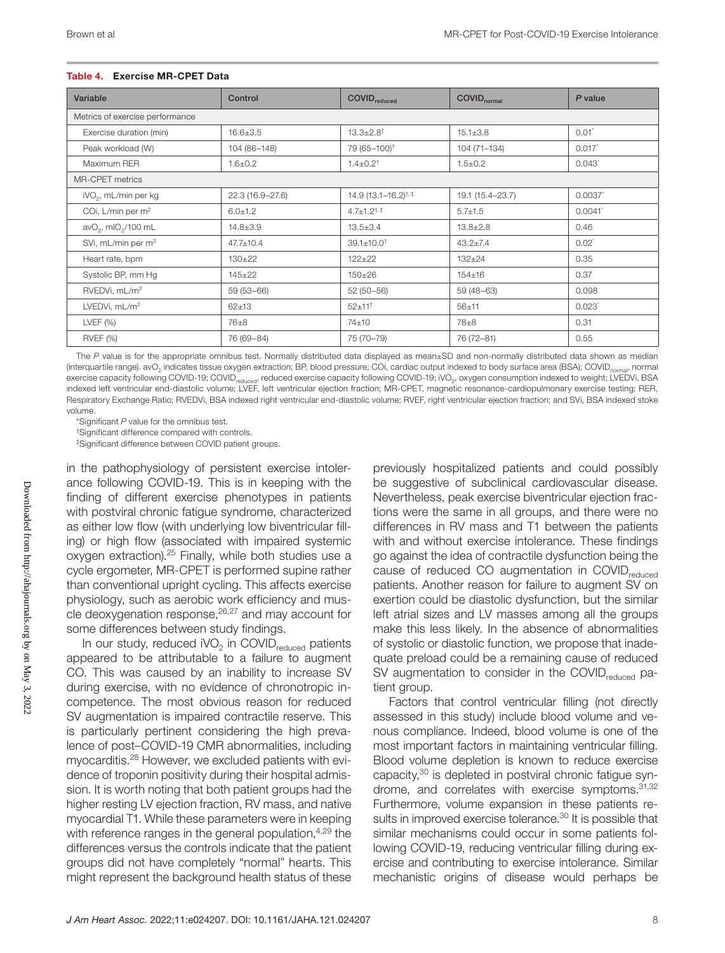#### Table 4. Exercise MR-CPET Data

| Variable                                    | Control          | <b>COVID</b> <sub>reduced</sub>  | <b>COVID</b> <sub>normal</sub> | P value              |  |
|---------------------------------------------|------------------|----------------------------------|--------------------------------|----------------------|--|
| Metrics of exercise performance             |                  |                                  |                                |                      |  |
| Exercise duration (min)                     | $16.6 \pm 3.5$   | $13.3 \pm 2.8$ <sup>†</sup>      | $15.1 \pm 3.8$                 | $0.01^*$             |  |
| Peak workload (W)                           | 104 (86-148)     | 79 (65-100) <sup>†</sup>         | 104 (71-134)                   | $0.017*$             |  |
| Maximum RER                                 | $1.6 \pm 0.2$    | $1.4 \pm 0.2$ <sup>†</sup>       | $1.5 \pm 0.2$                  | $0.043$ <sup>*</sup> |  |
| <b>MR-CPET</b> metrics                      |                  |                                  |                                |                      |  |
| iVO <sub>2</sub> , mL/min per kg            | 22.3 (16.9-27.6) | 14.9 (13.1-16.2) <sup>†, ‡</sup> | 19.1 (15.4-23.7)               | 0.0037               |  |
| COi, L/min per m <sup>2</sup>               | $6.0 \pm 1.2$    | $4.7 \pm 1.2^{\text{+}}$         | $5.7 \pm 1.5$                  | 0.0041               |  |
| avO <sub>2</sub> , mIO <sub>2</sub> /100 mL | $14.8 \pm 3.9$   | $13.5 \pm 3.4$                   | $13.8 \pm 2.8$                 | 0.46                 |  |
| SVi, mL/min per m <sup>2</sup>              | $47.7 \pm 10.4$  | $39.1 \pm 10.0^+$                | $43.2 \pm 7.4$                 | $0.02^*$             |  |
| Heart rate, bpm                             | $130+22$         | $122 \pm 22$                     | $132 \pm 24$                   | 0.35                 |  |
| Systolic BP, mm Hg                          | $145 \pm 22$     | $150 \pm 26$                     | $154 \pm 16$                   | 0.37                 |  |
| RVEDVi, mL/m <sup>2</sup>                   | $59(53-66)$      | $52(50-56)$                      | $59(48-63)$                    | 0.098                |  |
| LVEDVi, $mL/m2$                             | $62 + 13$        | $52 \pm 11^{+}$                  | $56 + 11$                      | 0.023                |  |
| LVEF $(%)$                                  | 76±8             | 74±10                            | 78±8                           | 0.31                 |  |
| <b>RVEF (%)</b>                             | 76 (69-84)       | 75 (70-79)                       | 76 (72-81)                     | 0.55                 |  |

The *P* value is for the appropriate omnibus test. Normally distributed data displayed as mean±SD and non-normally distributed data shown as median (interquartile range). avO<sub>2</sub> indicates tissue oxygen extraction; BP, blood pressure; COi, cardiac output indexed to body surface area (BSA); COVID<sub>normal</sub>, normal exercise capacity following COVID-19; COVID<sub>reduced</sub>, reduced exercise capacity following COVID-19; iVO<sub>2</sub>, oxygen consumption indexed to weight; LVEDVi, BSA indexed left ventricular end-diastolic volume; LVEF, left ventricular ejection fraction; MR-CPET, magnetic resonance-cardiopulmonary exercise testing; RER, Respiratory Exchange Ratio; RVEDVi, BSA indexed right ventricular end-diastolic volume; RVEF, right ventricular ejection fraction; and SVi, BSA indexed stoke volume.

\*Significant *P* value for the omnibus test.

†Significant difference compared with controls.

‡Significant difference between COVID patient groups.

in the pathophysiology of persistent exercise intolerance following COVID-19. This is in keeping with the finding of different exercise phenotypes in patients with postviral chronic fatigue syndrome, characterized as either low flow (with underlying low biventricular filling) or high flow (associated with impaired systemic oxygen extraction).25 Finally, while both studies use a cycle ergometer, MR-CPET is performed supine rather than conventional upright cycling. This affects exercise physiology, such as aerobic work efficiency and muscle deoxygenation response, $26,27$  and may account for some differences between study findings.

In our study, reduced  $\mathsf{iVO}_2$  in COVID<sub>reduced</sub> patients appeared to be attributable to a failure to augment CO. This was caused by an inability to increase SV during exercise, with no evidence of chronotropic incompetence. The most obvious reason for reduced SV augmentation is impaired contractile reserve. This is particularly pertinent considering the high prevalence of post–COVID-19 CMR abnormalities, including myocarditis.28 However, we excluded patients with evidence of troponin positivity during their hospital admission. It is worth noting that both patient groups had the higher resting LV ejection fraction, RV mass, and native myocardial T1. While these parameters were in keeping with reference ranges in the general population, $4.29$  the differences versus the controls indicate that the patient groups did not have completely "normal" hearts. This might represent the background health status of these

previously hospitalized patients and could possibly be suggestive of subclinical cardiovascular disease. Nevertheless, peak exercise biventricular ejection fractions were the same in all groups, and there were no differences in RV mass and T1 between the patients with and without exercise intolerance. These findings go against the idea of contractile dysfunction being the cause of reduced CO augmentation in COVID<sub>reduced</sub> patients. Another reason for failure to augment SV on exertion could be diastolic dysfunction, but the similar left atrial sizes and LV masses among all the groups make this less likely. In the absence of abnormalities of systolic or diastolic function, we propose that inadequate preload could be a remaining cause of reduced SV augmentation to consider in the COVID $_{\rm reduced}$  patient group.

Factors that control ventricular filling (not directly assessed in this study) include blood volume and venous compliance. Indeed, blood volume is one of the most important factors in maintaining ventricular filling. Blood volume depletion is known to reduce exercise capacity,<sup>30</sup> is depleted in postviral chronic fatigue syndrome, and correlates with exercise symptoms. 31,32 Furthermore, volume expansion in these patients results in improved exercise tolerance.<sup>30</sup> It is possible that similar mechanisms could occur in some patients following COVID-19, reducing ventricular filling during exercise and contributing to exercise intolerance. Similar mechanistic origins of disease would perhaps be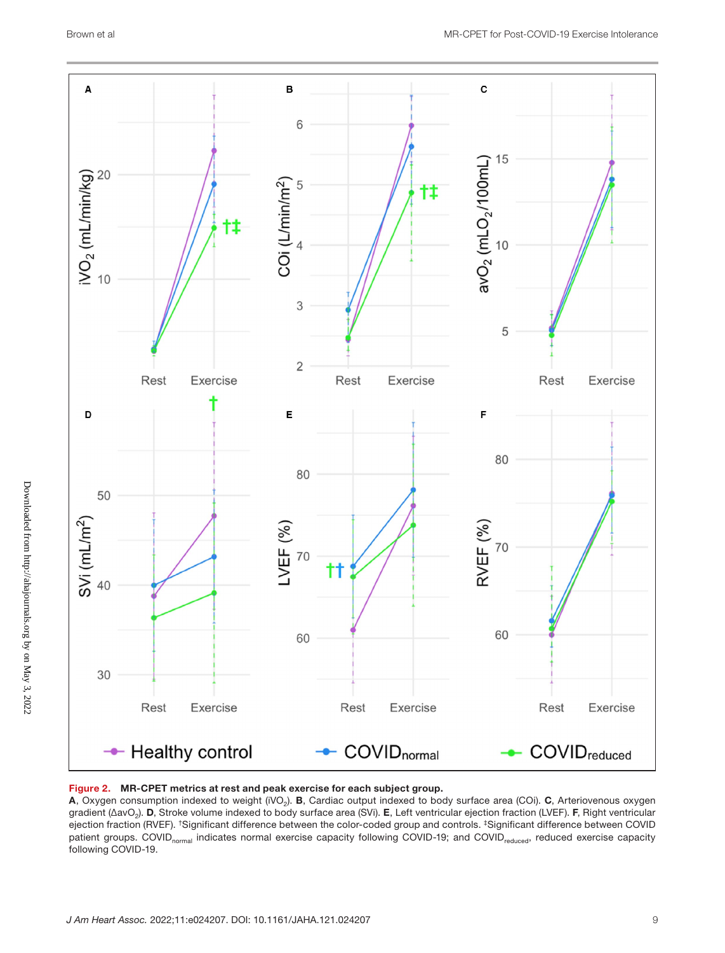

#### Figure 2. MR-CPET metrics at rest and peak exercise for each subject group.

A, Oxygen consumption indexed to weight (iVO<sub>2</sub>). B, Cardiac output indexed to body surface area (COi). C, Arteriovenous oxygen gradient (ΔavO<sub>2</sub>). D, Stroke volume indexed to body surface area (SVi). E, Left ventricular ejection fraction (LVEF). F, Right ventricular ejection fraction (RVEF). †Significant difference between the color-coded group and controls. ‡Significant difference between COVID patient groups. COVID<sub>normal</sub> indicates normal exercise capacity following COVID-19; and COVID<sub>reduced</sub>, reduced exercise capacity following COVID-19.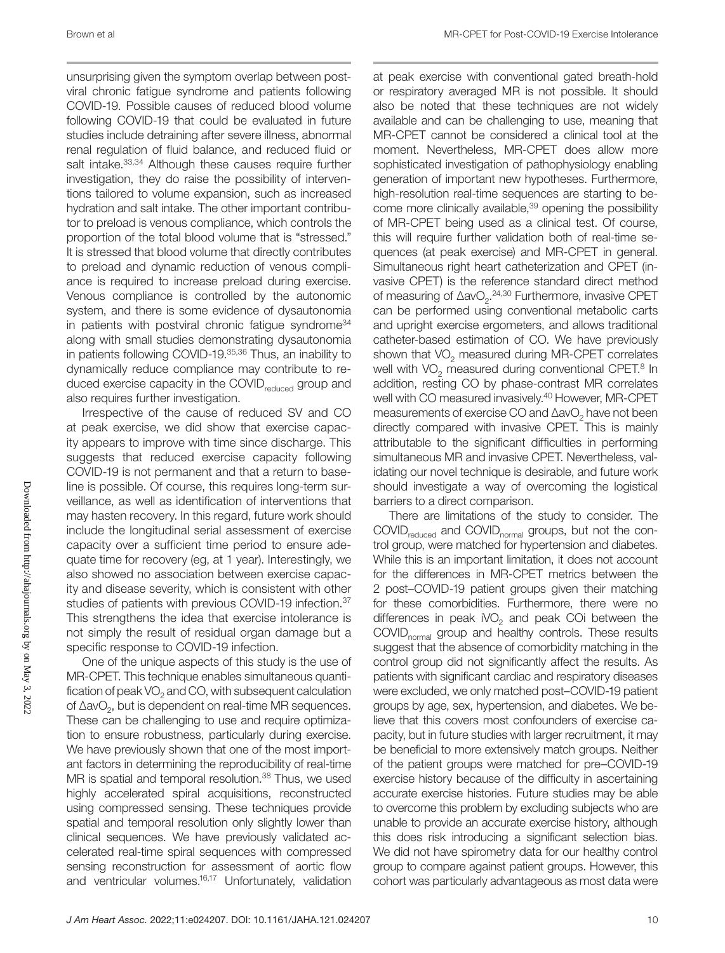unsurprising given the symptom overlap between postviral chronic fatigue syndrome and patients following COVID-19. Possible causes of reduced blood volume following COVID-19 that could be evaluated in future studies include detraining after severe illness, abnormal renal regulation of fluid balance, and reduced fluid or salt intake.<sup>33,34</sup> Although these causes require further investigation, they do raise the possibility of interventions tailored to volume expansion, such as increased hydration and salt intake. The other important contributor to preload is venous compliance, which controls the proportion of the total blood volume that is "stressed." It is stressed that blood volume that directly contributes to preload and dynamic reduction of venous compliance is required to increase preload during exercise. Venous compliance is controlled by the autonomic system, and there is some evidence of dysautonomia in patients with postviral chronic fatigue syndrome<sup>34</sup> along with small studies demonstrating dysautonomia in patients following COVID-19.35,36 Thus, an inability to dynamically reduce compliance may contribute to reduced exercise capacity in the COVID<sub>reduced</sub> group and also requires further investigation.

Irrespective of the cause of reduced SV and CO at peak exercise, we did show that exercise capacity appears to improve with time since discharge. This suggests that reduced exercise capacity following COVID-19 is not permanent and that a return to baseline is possible. Of course, this requires long-term surveillance, as well as identification of interventions that may hasten recovery. In this regard, future work should include the longitudinal serial assessment of exercise capacity over a sufficient time period to ensure adequate time for recovery (eg, at 1 year). Interestingly, we also showed no association between exercise capacity and disease severity, which is consistent with other studies of patients with previous COVID-19 infection.<sup>37</sup> This strengthens the idea that exercise intolerance is not simply the result of residual organ damage but a specific response to COVID-19 infection.

One of the unique aspects of this study is the use of MR-CPET. This technique enables simultaneous quantification of peak  $VO<sub>2</sub>$  and CO, with subsequent calculation of ∆avO<sub>2</sub>, but is dependent on real-time MR sequences. These can be challenging to use and require optimization to ensure robustness, particularly during exercise. We have previously shown that one of the most important factors in determining the reproducibility of real-time MR is spatial and temporal resolution.<sup>38</sup> Thus, we used highly accelerated spiral acquisitions, reconstructed using compressed sensing. These techniques provide spatial and temporal resolution only slightly lower than clinical sequences. We have previously validated accelerated real-time spiral sequences with compressed sensing reconstruction for assessment of aortic flow and ventricular volumes.<sup>16,17</sup> Unfortunately, validation at peak exercise with conventional gated breath-hold or respiratory averaged MR is not possible. It should also be noted that these techniques are not widely available and can be challenging to use, meaning that MR-CPET cannot be considered a clinical tool at the moment. Nevertheless, MR-CPET does allow more sophisticated investigation of pathophysiology enabling generation of important new hypotheses. Furthermore, high-resolution real-time sequences are starting to become more clinically available,<sup>39</sup> opening the possibility of MR-CPET being used as a clinical test. Of course, this will require further validation both of real-time sequences (at peak exercise) and MR-CPET in general. Simultaneous right heart catheterization and CPET (invasive CPET) is the reference standard direct method of measuring of ∆avO<sub>2</sub>.<sup>24,30</sup> Furthermore, invasive CPET can be performed using conventional metabolic carts and upright exercise ergometers, and allows traditional catheter-based estimation of CO. We have previously shown that  $VO<sub>2</sub>$  measured during MR-CPET correlates well with VO<sub>2</sub> measured during conventional CPET.<sup>8</sup> In addition, resting CO by phase-contrast MR correlates well with CO measured invasively.40 However, MR-CPET measurements of exercise CO and ∆avO<sub>2</sub> have not been directly compared with invasive CPET. This is mainly attributable to the significant difficulties in performing simultaneous MR and invasive CPET. Nevertheless, validating our novel technique is desirable, and future work should investigate a way of overcoming the logistical barriers to a direct comparison.

There are limitations of the study to consider. The COVID<sub>reduced</sub> and COVID<sub>normal</sub> groups, but not the control group, were matched for hypertension and diabetes. While this is an important limitation, it does not account for the differences in MR-CPET metrics between the 2 post–COVID-19 patient groups given their matching for these comorbidities. Furthermore, there were no differences in peak  $\text{iVO}_2$  and peak COi between the COVID<sub>normal</sub> group and healthy controls. These results suggest that the absence of comorbidity matching in the control group did not significantly affect the results. As patients with significant cardiac and respiratory diseases were excluded, we only matched post–COVID-19 patient groups by age, sex, hypertension, and diabetes. We believe that this covers most confounders of exercise capacity, but in future studies with larger recruitment, it may be beneficial to more extensively match groups. Neither of the patient groups were matched for pre–COVID-19 exercise history because of the difficulty in ascertaining accurate exercise histories. Future studies may be able to overcome this problem by excluding subjects who are unable to provide an accurate exercise history, although this does risk introducing a significant selection bias. We did not have spirometry data for our healthy control group to compare against patient groups. However, this cohort was particularly advantageous as most data were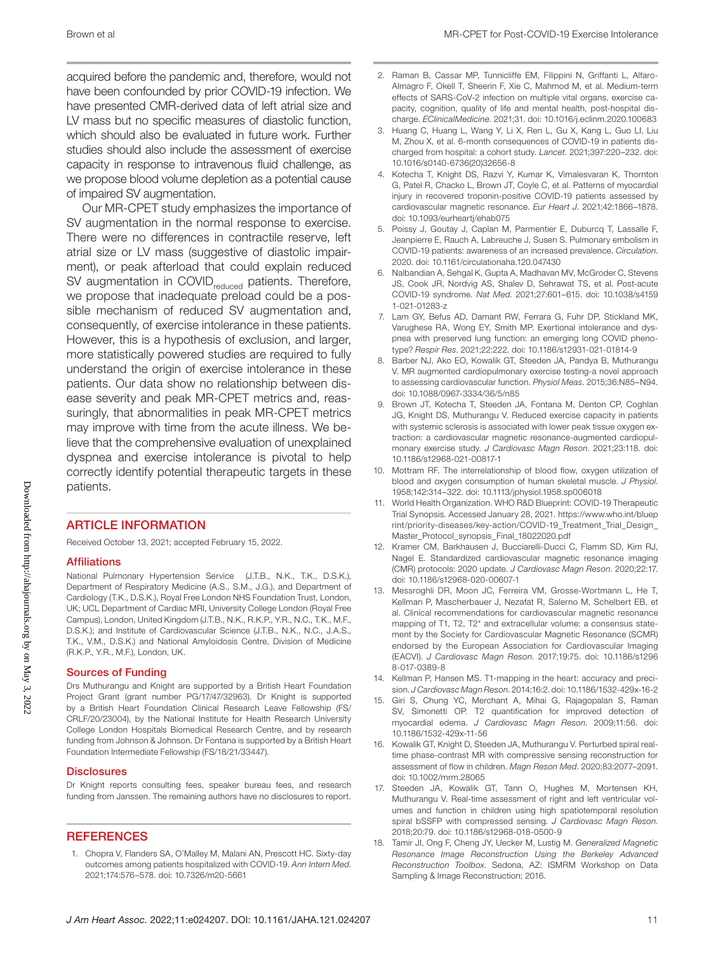acquired before the pandemic and, therefore, would not have been confounded by prior COVID-19 infection. We have presented CMR-derived data of left atrial size and LV mass but no specific measures of diastolic function, which should also be evaluated in future work. Further studies should also include the assessment of exercise capacity in response to intravenous fluid challenge, as we propose blood volume depletion as a potential cause of impaired SV augmentation.

Our MR-CPET study emphasizes the importance of SV augmentation in the normal response to exercise. There were no differences in contractile reserve, left atrial size or LV mass (suggestive of diastolic impairment), or peak afterload that could explain reduced SV augmentation in COVID<sub>reduced</sub> patients. Therefore, we propose that inadequate preload could be a possible mechanism of reduced SV augmentation and, consequently, of exercise intolerance in these patients. However, this is a hypothesis of exclusion, and larger, more statistically powered studies are required to fully understand the origin of exercise intolerance in these patients. Our data show no relationship between disease severity and peak MR-CPET metrics and, reassuringly, that abnormalities in peak MR-CPET metrics may improve with time from the acute illness. We believe that the comprehensive evaluation of unexplained dyspnea and exercise intolerance is pivotal to help correctly identify potential therapeutic targets in these patients.

#### ARTICLE INFORMATION

Received October 13, 2021; accepted February 15, 2022.

#### Affiliations

National Pulmonary Hypertension Service (J.T.B., N.K., T.K., D.S.K.), Department of Respiratory Medicine (A.S., S.M., J.G.), and Department of Cardiology (T.K., D.S.K.), Royal Free London NHS Foundation Trust, London, UK; UCL Department of Cardiac MRI, University College London (Royal Free Campus), London, United Kingdom (J.T.B., N.K., R.K.P., Y.R., N.C., T.K., M.F., D.S.K.); and Institute of Cardiovascular Science (J.T.B., N.K., N.C., J.A.S., T.K., V.M., D.S.K.) and National Amyloidosis Centre, Division of Medicine (R.K.P., Y.R., M.F.), London, UK.

#### Sources of Funding

Drs Muthurangu and Knight are supported by a British Heart Foundation Project Grant (grant number PG/17/47/32963). Dr Knight is supported by a British Heart Foundation Clinical Research Leave Fellowship (FS/ CRLF/20/23004), by the National Institute for Health Research University College London Hospitals Biomedical Research Centre, and by research funding from Johnson & Johnson. Dr Fontana is supported by a British Heart Foundation Intermediate Fellowship (FS/18/21/33447).

#### **Disclosures**

Dr Knight reports consulting fees, speaker bureau fees, and research funding from Janssen. The remaining authors have no disclosures to report.

#### **REFERENCES**

1. Chopra V, Flanders SA, O'Malley M, Malani AN, Prescott HC. Sixty-day outcomes among patients hospitalized with COVID-19. *Ann Intern Med*. 2021;174:576–578. doi: [10.7326/m20-5661](https://doi.org/10.7326/m20-5661)

- 2. Raman B, Cassar MP, Tunnicliffe EM, Filippini N, Griffanti L, Alfaro-Almagro F, Okell T, Sheerin F, Xie C, Mahmod M, et al. Medium-term effects of SARS-CoV-2 infection on multiple vital organs, exercise capacity, cognition, quality of life and mental health, post-hospital discharge. *EClinicalMedicine*. 2021;31. doi: [10.1016/j.eclinm.2020.100683](https://doi.org/10.1016/j.eclinm.2020.100683)
- 3. Huang C, Huang L, Wang Y, Li X, Ren L, Gu X, Kang L, Guo LI, Liu M, Zhou X, et al. 6-month consequences of COVID-19 in patients discharged from hospital: a cohort study. *Lancet*. 2021;397:220–232. doi: [10.1016/s0140-6736\(20\)32656-8](https://doi.org/10.1016/s0140-6736(20)32656-8)
- 4. Kotecha T, Knight DS, Razvi Y, Kumar K, Vimalesvaran K, Thornton G, Patel R, Chacko L, Brown JT, Coyle C, et al. Patterns of myocardial injury in recovered troponin-positive COVID-19 patients assessed by cardiovascular magnetic resonance. *Eur Heart J*. 2021;42:1866–1878. doi: [10.1093/eurheartj/ehab075](https://doi.org/10.1093/eurheartj/ehab075)
- 5. Poissy J, Goutay J, Caplan M, Parmentier E, Duburcq T, Lassalle F, Jeanpierre E, Rauch A, Labreuche J, Susen S. Pulmonary embolism in COVID-19 patients: awareness of an increased prevalence. *Circulation*. 2020. doi: [10.1161/circulationaha.120.047430](https://doi.org/10.1161/circulationaha.120.047430)
- 6. Nalbandian A, Sehgal K, Gupta A, Madhavan MV, McGroder C, Stevens JS, Cook JR, Nordvig AS, Shalev D, Sehrawat TS, et al. Post-acute COVID-19 syndrome. *Nat Med*. 2021;27:601–615. doi: [10.1038/s4159](https://doi.org/10.1038/s41591-021-01283-z) [1-021-01283-z](https://doi.org/10.1038/s41591-021-01283-z)
- 7. Lam GY, Befus AD, Damant RW, Ferrara G, Fuhr DP, Stickland MK, Varughese RA, Wong EY, Smith MP. Exertional intolerance and dyspnea with preserved lung function: an emerging long COVID phenotype? *Respir Res*. 2021;22:222. doi: [10.1186/s12931-021-01814-9](https://doi.org/10.1186/s12931-021-01814-9)
- 8. Barber NJ, Ako EO, Kowalik GT, Steeden JA, Pandya B, Muthurangu V. MR augmented cardiopulmonary exercise testing-a novel approach to assessing cardiovascular function. *Physiol Meas*. 2015;36:N85–N94. doi: [10.1088/0967-3334/36/5/n85](https://doi.org/10.1088/0967-3334/36/5/n85)
- Brown JT, Kotecha T, Steeden JA, Fontana M, Denton CP, Coghlan JG, Knight DS, Muthurangu V. Reduced exercise capacity in patients with systemic sclerosis is associated with lower peak tissue oxygen extraction: a cardiovascular magnetic resonance-augmented cardiopulmonary exercise study. *J Cardiovasc Magn Reson*. 2021;23:118. doi: [10.1186/s12968-021-00817-1](https://doi.org/10.1186/s12968-021-00817-1)
- 10. Mottram RF. The interrelationship of blood flow, oxygen utilization of blood and oxygen consumption of human skeletal muscle. *J Physiol*. 1958;142:314–322. doi: [10.1113/jphysiol.1958.sp006018](https://doi.org/10.1113/jphysiol.1958.sp006018)
- 11. World Health Organization. WHO R&D Blueprint: COVID-19 Therapeutic Trial Synopsis. Accessed January 28, 2021. [https://www.who.int/bluep](https://www.who.int/blueprint/priority-diseases/key-action/COVID-19_Treatment_Trial_Design_Master_Protocol_synopsis_Final_18022020.pdf) [rint/priority-diseases/key-action/COVID-19\\_Treatment\\_Trial\\_Design\\_](https://www.who.int/blueprint/priority-diseases/key-action/COVID-19_Treatment_Trial_Design_Master_Protocol_synopsis_Final_18022020.pdf) [Master\\_Protocol\\_synopsis\\_Final\\_18022020.pdf](https://www.who.int/blueprint/priority-diseases/key-action/COVID-19_Treatment_Trial_Design_Master_Protocol_synopsis_Final_18022020.pdf)
- 12. Kramer CM, Barkhausen J, Bucciarelli-Ducci C, Flamm SD, Kim RJ, Nagel E. Standardized cardiovascular magnetic resonance imaging (CMR) protocols: 2020 update. *J Cardiovasc Magn Reson*. 2020;22:17. doi: [10.1186/s12968-020-00607-1](https://doi.org/10.1186/s12968-020-00607-1)
- 13. Messroghli DR, Moon JC, Ferreira VM, Grosse-Wortmann L, He T, Kellman P, Mascherbauer J, Nezafat R, Salerno M, Schelbert EB, et al. Clinical recommendations for cardiovascular magnetic resonance mapping of T1, T2, T2\* and extracellular volume: a consensus statement by the Society for Cardiovascular Magnetic Resonance (SCMR) endorsed by the European Association for Cardiovascular Imaging (EACVI). *J Cardiovasc Magn Reson*. 2017;19:75. doi: [10.1186/s1296](https://doi.org/10.1186/s12968-017-0389-8) [8-017-0389-8](https://doi.org/10.1186/s12968-017-0389-8)
- 14. Kellman P, Hansen MS. T1-mapping in the heart: accuracy and precision. *J Cardiovasc Magn Reson*. 2014;16:2. doi: [10.1186/1532-429x-16-2](https://doi.org/10.1186/1532-429x-16-2)
- 15. Giri S, Chung YC, Merchant A, Mihai G, Rajagopalan S, Raman SV, Simonetti OP. T2 quantification for improved detection of myocardial edema. *J Cardiovasc Magn Reson*. 2009;11:56. doi: [10.1186/1532-429x-11-56](https://doi.org/10.1186/1532-429x-11-56)
- 16. Kowalik GT, Knight D, Steeden JA, Muthurangu V. Perturbed spiral realtime phase-contrast MR with compressive sensing reconstruction for assessment of flow in children. *Magn Reson Med*. 2020;83:2077–2091. doi: [10.1002/mrm.28065](https://doi.org/10.1002/mrm.28065)
- 17. Steeden JA, Kowalik GT, Tann O, Hughes M, Mortensen KH, Muthurangu V. Real-time assessment of right and left ventricular volumes and function in children using high spatiotemporal resolution spiral bSSFP with compressed sensing. *J Cardiovasc Magn Reson*. 2018;20:79. doi: [10.1186/s12968-018-0500-9](https://doi.org/10.1186/s12968-018-0500-9)
- 18. Tamir JI, Ong F, Cheng JY, Uecker M, Lustig M. *Generalized Magnetic Resonance Image Reconstruction Using the Berkeley Advanced Reconstruction Toolbox*. Sedona, AZ: ISMRM Workshop on Data Sampling & Image Reconstruction; 2016.